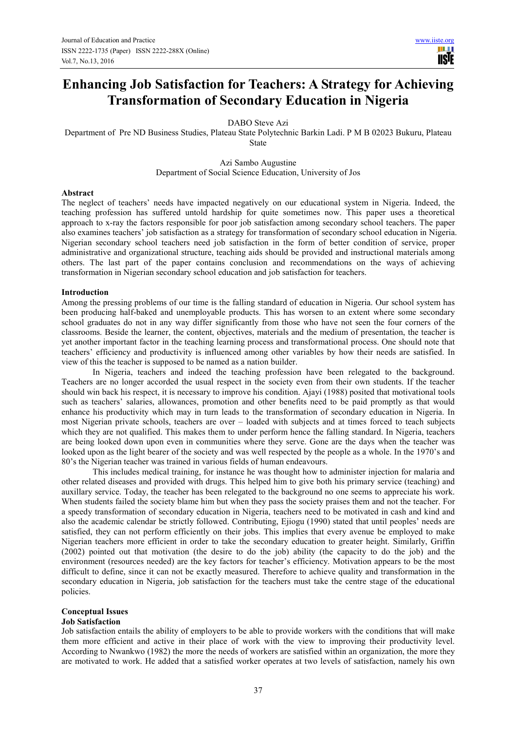**TISIE** 

# **Enhancing Job Satisfaction for Teachers: A Strategy for Achieving Transformation of Secondary Education in Nigeria**

DABO Steve Azi

Department of Pre ND Business Studies, Plateau State Polytechnic Barkin Ladi. P M B 02023 Bukuru, Plateau State

> Azi Sambo Augustine Department of Social Science Education, University of Jos

#### **Abstract**

The neglect of teachers' needs have impacted negatively on our educational system in Nigeria. Indeed, the teaching profession has suffered untold hardship for quite sometimes now. This paper uses a theoretical approach to x-ray the factors responsible for poor job satisfaction among secondary school teachers. The paper also examines teachers' job satisfaction as a strategy for transformation of secondary school education in Nigeria. Nigerian secondary school teachers need job satisfaction in the form of better condition of service, proper administrative and organizational structure, teaching aids should be provided and instructional materials among others. The last part of the paper contains conclusion and recommendations on the ways of achieving transformation in Nigerian secondary school education and job satisfaction for teachers.

## **Introduction**

Among the pressing problems of our time is the falling standard of education in Nigeria. Our school system has been producing half-baked and unemployable products. This has worsen to an extent where some secondary school graduates do not in any way differ significantly from those who have not seen the four corners of the classrooms. Beside the learner, the content, objectives, materials and the medium of presentation, the teacher is yet another important factor in the teaching learning process and transformational process. One should note that teachers' efficiency and productivity is influenced among other variables by how their needs are satisfied. In view of this the teacher is supposed to be named as a nation builder.

 In Nigeria, teachers and indeed the teaching profession have been relegated to the background. Teachers are no longer accorded the usual respect in the society even from their own students. If the teacher should win back his respect, it is necessary to improve his condition. Ajayi (1988) posited that motivational tools such as teachers' salaries, allowances, promotion and other benefits need to be paid promptly as that would enhance his productivity which may in turn leads to the transformation of secondary education in Nigeria. In most Nigerian private schools, teachers are over – loaded with subjects and at times forced to teach subjects which they are not qualified. This makes them to under perform hence the falling standard. In Nigeria, teachers are being looked down upon even in communities where they serve. Gone are the days when the teacher was looked upon as the light bearer of the society and was well respected by the people as a whole. In the 1970's and 80's the Nigerian teacher was trained in various fields of human endeavours.

This includes medical training, for instance he was thought how to administer injection for malaria and other related diseases and provided with drugs. This helped him to give both his primary service (teaching) and auxillary service. Today, the teacher has been relegated to the background no one seems to appreciate his work. When students failed the society blame him but when they pass the society praises them and not the teacher. For a speedy transformation of secondary education in Nigeria, teachers need to be motivated in cash and kind and also the academic calendar be strictly followed. Contributing, Ejiogu (1990) stated that until peoples' needs are satisfied, they can not perform efficiently on their jobs. This implies that every avenue be employed to make Nigerian teachers more efficient in order to take the secondary education to greater height. Similarly, Griffin (2002) pointed out that motivation (the desire to do the job) ability (the capacity to do the job) and the environment (resources needed) are the key factors for teacher's efficiency. Motivation appears to be the most difficult to define, since it can not be exactly measured. Therefore to achieve quality and transformation in the secondary education in Nigeria, job satisfaction for the teachers must take the centre stage of the educational policies.

## **Conceptual Issues**

## **Job Satisfaction**

Job satisfaction entails the ability of employers to be able to provide workers with the conditions that will make them more efficient and active in their place of work with the view to improving their productivity level. According to Nwankwo (1982) the more the needs of workers are satisfied within an organization, the more they are motivated to work. He added that a satisfied worker operates at two levels of satisfaction, namely his own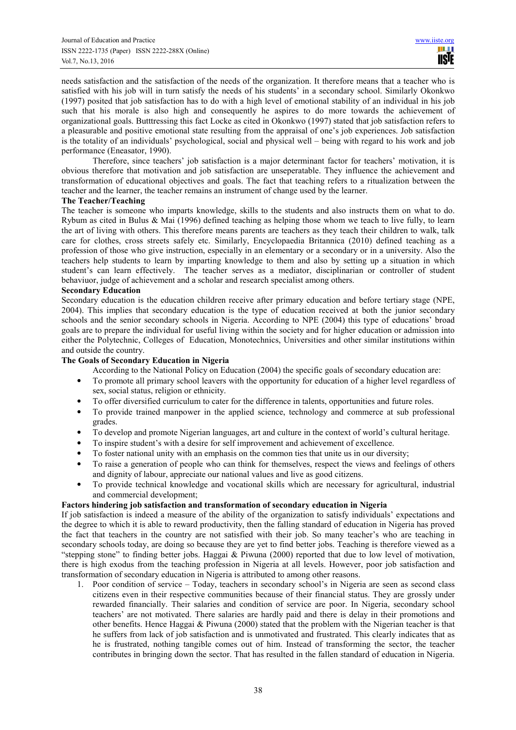needs satisfaction and the satisfaction of the needs of the organization. It therefore means that a teacher who is satisfied with his job will in turn satisfy the needs of his students' in a secondary school. Similarly Okonkwo (1997) posited that job satisfaction has to do with a high level of emotional stability of an individual in his job such that his morale is also high and consequently he aspires to do more towards the achievement of organizational goals. Butttressing this fact Locke as cited in Okonkwo (1997) stated that job satisfaction refers to a pleasurable and positive emotional state resulting from the appraisal of one's job experiences. Job satisfaction is the totality of an individuals' psychological, social and physical well – being with regard to his work and job performance (Eneasator, 1990).

 Therefore, since teachers' job satisfaction is a major determinant factor for teachers' motivation, it is obvious therefore that motivation and job satisfaction are unseperatable. They influence the achievement and transformation of educational objectives and goals. The fact that teaching refers to a ritualization between the teacher and the learner, the teacher remains an instrument of change used by the learner.

## **The Teacher/Teaching**

The teacher is someone who imparts knowledge, skills to the students and also instructs them on what to do. Rybum as cited in Bulus & Mai (1996) defined teaching as helping those whom we teach to live fully, to learn the art of living with others. This therefore means parents are teachers as they teach their children to walk, talk care for clothes, cross streets safely etc. Similarly, Encyclopaedia Britannica (2010) defined teaching as a profession of those who give instruction, especially in an elementary or a secondary or in a university. Also the teachers help students to learn by imparting knowledge to them and also by setting up a situation in which student's can learn effectively. The teacher serves as a mediator, disciplinarian or controller of student behaviuor, judge of achievement and a scholar and research specialist among others.

# **Secondary Education**

Secondary education is the education children receive after primary education and before tertiary stage (NPE, 2004). This implies that secondary education is the type of education received at both the junior secondary schools and the senior secondary schools in Nigeria. According to NPE (2004) this type of educations' broad goals are to prepare the individual for useful living within the society and for higher education or admission into either the Polytechnic, Colleges of Education, Monotechnics, Universities and other similar institutions within and outside the country.

# **The Goals of Secondary Education in Nigeria**

According to the National Policy on Education (2004) the specific goals of secondary education are:

- To promote all primary school leavers with the opportunity for education of a higher level regardless of sex, social status, religion or ethnicity.
- To offer diversified curriculum to cater for the difference in talents, opportunities and future roles.
- To provide trained manpower in the applied science, technology and commerce at sub professional grades.
- To develop and promote Nigerian languages, art and culture in the context of world's cultural heritage.
- To inspire student's with a desire for self improvement and achievement of excellence.
- To foster national unity with an emphasis on the common ties that unite us in our diversity;
- To raise a generation of people who can think for themselves, respect the views and feelings of others and dignity of labour, appreciate our national values and live as good citizens.
- To provide technical knowledge and vocational skills which are necessary for agricultural, industrial and commercial development;

# **Factors hindering job satisfaction and transformation of secondary education in Nigeria**

If job satisfaction is indeed a measure of the ability of the organization to satisfy individuals' expectations and the degree to which it is able to reward productivity, then the falling standard of education in Nigeria has proved the fact that teachers in the country are not satisfied with their job. So many teacher's who are teaching in secondary schools today, are doing so because they are yet to find better jobs. Teaching is therefore viewed as a "stepping stone" to finding better jobs. Haggai & Piwuna (2000) reported that due to low level of motivation, there is high exodus from the teaching profession in Nigeria at all levels. However, poor job satisfaction and transformation of secondary education in Nigeria is attributed to among other reasons.

1. Poor condition of service – Today, teachers in secondary school's in Nigeria are seen as second class citizens even in their respective communities because of their financial status. They are grossly under rewarded financially. Their salaries and condition of service are poor. In Nigeria, secondary school teachers' are not motivated. There salaries are hardly paid and there is delay in their promotions and other benefits. Hence Haggai & Piwuna (2000) stated that the problem with the Nigerian teacher is that he suffers from lack of job satisfaction and is unmotivated and frustrated. This clearly indicates that as he is frustrated, nothing tangible comes out of him. Instead of transforming the sector, the teacher contributes in bringing down the sector. That has resulted in the fallen standard of education in Nigeria.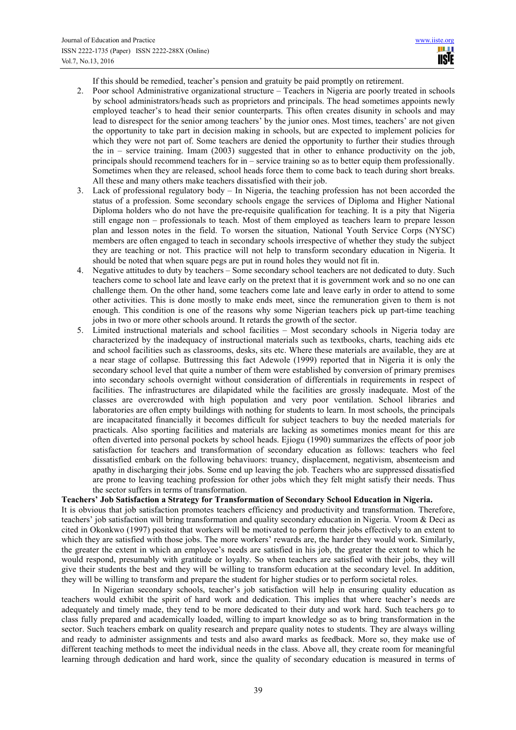If this should be remedied, teacher's pension and gratuity be paid promptly on retirement.

- 2. Poor school Administrative organizational structure Teachers in Nigeria are poorly treated in schools by school administrators/heads such as proprietors and principals. The head sometimes appoints newly employed teacher's to head their senior counterparts. This often creates disunity in schools and may lead to disrespect for the senior among teachers' by the junior ones. Most times, teachers' are not given the opportunity to take part in decision making in schools, but are expected to implement policies for which they were not part of. Some teachers are denied the opportunity to further their studies through the in – service training. Imam  $(2003)$  suggested that in other to enhance productivity on the job, principals should recommend teachers for in – service training so as to better equip them professionally. Sometimes when they are released, school heads force them to come back to teach during short breaks. All these and many others make teachers dissatisfied with their job.
- 3. Lack of professional regulatory body In Nigeria, the teaching profession has not been accorded the status of a profession. Some secondary schools engage the services of Diploma and Higher National Diploma holders who do not have the pre-requisite qualification for teaching. It is a pity that Nigeria still engage non – professionals to teach. Most of them employed as teachers learn to prepare lesson plan and lesson notes in the field. To worsen the situation, National Youth Service Corps (NYSC) members are often engaged to teach in secondary schools irrespective of whether they study the subject they are teaching or not. This practice will not help to transform secondary education in Nigeria. It should be noted that when square pegs are put in round holes they would not fit in.
- 4. Negative attitudes to duty by teachers Some secondary school teachers are not dedicated to duty. Such teachers come to school late and leave early on the pretext that it is government work and so no one can challenge them. On the other hand, some teachers come late and leave early in order to attend to some other activities. This is done mostly to make ends meet, since the remuneration given to them is not enough. This condition is one of the reasons why some Nigerian teachers pick up part-time teaching jobs in two or more other schools around. It retards the growth of the sector.
- 5. Limited instructional materials and school facilities Most secondary schools in Nigeria today are characterized by the inadequacy of instructional materials such as textbooks, charts, teaching aids etc and school facilities such as classrooms, desks, sits etc. Where these materials are available, they are at a near stage of collapse. Buttressing this fact Adewole (1999) reported that in Nigeria it is only the secondary school level that quite a number of them were established by conversion of primary premises into secondary schools overnight without consideration of differentials in requirements in respect of facilities. The infrastructures are dilapidated while the facilities are grossly inadequate. Most of the classes are overcrowded with high population and very poor ventilation. School libraries and laboratories are often empty buildings with nothing for students to learn. In most schools, the principals are incapacitated financially it becomes difficult for subject teachers to buy the needed materials for practicals. Also sporting facilities and materials are lacking as sometimes monies meant for this are often diverted into personal pockets by school heads. Ejiogu (1990) summarizes the effects of poor job satisfaction for teachers and transformation of secondary education as follows: teachers who feel dissatisfied embark on the following behaviuors: truancy, displacement, negativism, absenteeism and apathy in discharging their jobs. Some end up leaving the job. Teachers who are suppressed dissatisfied are prone to leaving teaching profession for other jobs which they felt might satisfy their needs. Thus the sector suffers in terms of transformation.

## **Teachers' Job Satisfaction a Strategy for Transformation of Secondary School Education in Nigeria.**

It is obvious that job satisfaction promotes teachers efficiency and productivity and transformation. Therefore, teachers' job satisfaction will bring transformation and quality secondary education in Nigeria. Vroom & Deci as cited in Okonkwo (1997) posited that workers will be motivated to perform their jobs effectively to an extent to which they are satisfied with those jobs. The more workers' rewards are, the harder they would work. Similarly, the greater the extent in which an employee's needs are satisfied in his job, the greater the extent to which he would respond, presumably with gratitude or loyalty. So when teachers are satisfied with their jobs, they will give their students the best and they will be willing to transform education at the secondary level. In addition, they will be willing to transform and prepare the student for higher studies or to perform societal roles.

In Nigerian secondary schools, teacher's job satisfaction will help in ensuring quality education as teachers would exhibit the spirit of hard work and dedication. This implies that where teacher's needs are adequately and timely made, they tend to be more dedicated to their duty and work hard. Such teachers go to class fully prepared and academically loaded, willing to impart knowledge so as to bring transformation in the sector. Such teachers embark on quality research and prepare quality notes to students. They are always willing and ready to administer assignments and tests and also award marks as feedback. More so, they make use of different teaching methods to meet the individual needs in the class. Above all, they create room for meaningful learning through dedication and hard work, since the quality of secondary education is measured in terms of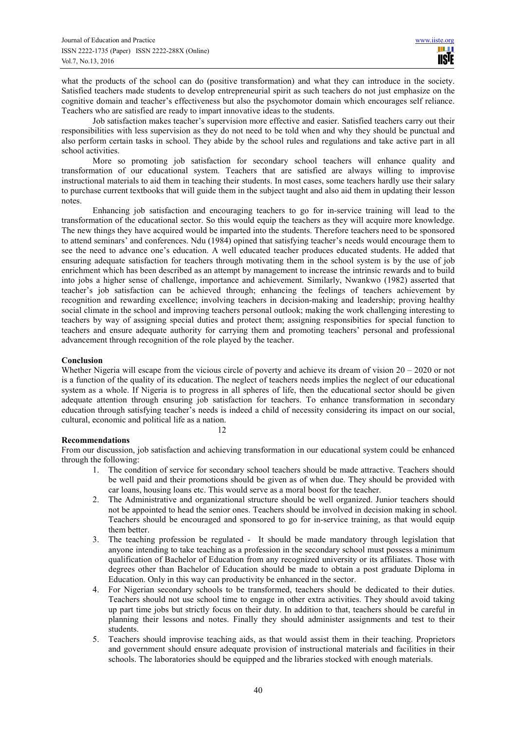what the products of the school can do (positive transformation) and what they can introduce in the society. Satisfied teachers made students to develop entrepreneurial spirit as such teachers do not just emphasize on the cognitive domain and teacher's effectiveness but also the psychomotor domain which encourages self reliance. Teachers who are satisfied are ready to impart innovative ideas to the students.

Job satisfaction makes teacher's supervision more effective and easier. Satisfied teachers carry out their responsibilities with less supervision as they do not need to be told when and why they should be punctual and also perform certain tasks in school. They abide by the school rules and regulations and take active part in all school activities.

More so promoting job satisfaction for secondary school teachers will enhance quality and transformation of our educational system. Teachers that are satisfied are always willing to improvise instructional materials to aid them in teaching their students. In most cases, some teachers hardly use their salary to purchase current textbooks that will guide them in the subject taught and also aid them in updating their lesson notes.

Enhancing job satisfaction and encouraging teachers to go for in-service training will lead to the transformation of the educational sector. So this would equip the teachers as they will acquire more knowledge. The new things they have acquired would be imparted into the students. Therefore teachers need to be sponsored to attend seminars' and conferences. Ndu (1984) opined that satisfying teacher's needs would encourage them to see the need to advance one's education. A well educated teacher produces educated students. He added that ensuring adequate satisfaction for teachers through motivating them in the school system is by the use of job enrichment which has been described as an attempt by management to increase the intrinsic rewards and to build into jobs a higher sense of challenge, importance and achievement. Similarly, Nwankwo (1982) asserted that teacher's job satisfaction can be achieved through; enhancing the feelings of teachers achievement by recognition and rewarding excellence; involving teachers in decision-making and leadership; proving healthy social climate in the school and improving teachers personal outlook; making the work challenging interesting to teachers by way of assigning special duties and protect them; assigning responsibities for special function to teachers and ensure adequate authority for carrying them and promoting teachers' personal and professional advancement through recognition of the role played by the teacher.

## **Conclusion**

Whether Nigeria will escape from the vicious circle of poverty and achieve its dream of vision  $20 - 2020$  or not is a function of the quality of its education. The neglect of teachers needs implies the neglect of our educational system as a whole. If Nigeria is to progress in all spheres of life, then the educational sector should be given adequate attention through ensuring job satisfaction for teachers. To enhance transformation in secondary education through satisfying teacher's needs is indeed a child of necessity considering its impact on our social, cultural, economic and political life as a nation.

# 12

#### **Recommendations**

From our discussion, job satisfaction and achieving transformation in our educational system could be enhanced through the following:

- 1. The condition of service for secondary school teachers should be made attractive. Teachers should be well paid and their promotions should be given as of when due. They should be provided with car loans, housing loans etc. This would serve as a moral boost for the teacher.
- 2. The Administrative and organizational structure should be well organized. Junior teachers should not be appointed to head the senior ones. Teachers should be involved in decision making in school. Teachers should be encouraged and sponsored to go for in-service training, as that would equip them better.
- 3. The teaching profession be regulated It should be made mandatory through legislation that anyone intending to take teaching as a profession in the secondary school must possess a minimum qualification of Bachelor of Education from any recognized university or its affiliates. Those with degrees other than Bachelor of Education should be made to obtain a post graduate Diploma in Education. Only in this way can productivity be enhanced in the sector.
- 4. For Nigerian secondary schools to be transformed, teachers should be dedicated to their duties. Teachers should not use school time to engage in other extra activities. They should avoid taking up part time jobs but strictly focus on their duty. In addition to that, teachers should be careful in planning their lessons and notes. Finally they should administer assignments and test to their students.
- 5. Teachers should improvise teaching aids, as that would assist them in their teaching. Proprietors and government should ensure adequate provision of instructional materials and facilities in their schools. The laboratories should be equipped and the libraries stocked with enough materials.